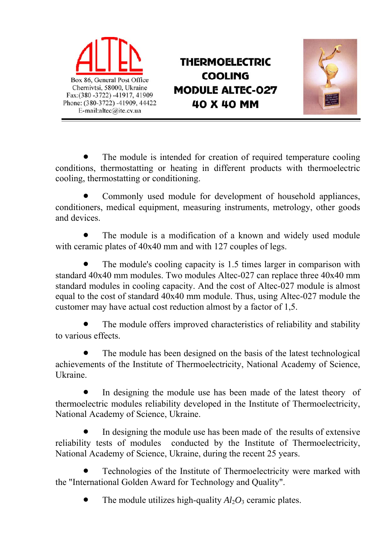

**THERMOELECTRIC COOLING MODULE ALTEC-027** 40 X 40 MM



 The module is intended for creation of required temperature cooling conditions, thermostatting or heating in different products with thermoelectric cooling, thermostatting or conditioning.

 Commonly used module for development of household appliances, conditioners, medical equipment, measuring instruments, metrology, other goods and devices.

 The module is a modification of a known and widely used module with ceramic plates of  $40x40$  mm and with 127 couples of legs.

 The module's cooling capacity is 1.5 times larger in comparison with standard 40x40 mm modules. Two modules Altec-027 can replace three 40x40 mm standard modules in cooling capacity. And the cost of Altec-027 module is almost equal to the cost of standard 40x40 mm module. Thus, using Altec-027 module the customer may have actual cost reduction almost by a factor of 1,5.

 The module offers improved characteristics of reliability and stability to various effects.

 The module has been designed on the basis of the latest technological achievements of the Institute of Thermoelectricity, National Academy of Science, Ukraine.

 In designing the module use has been made of the latest theory of thermoelectric modules reliability developed in the Institute of Thermoelectricity, National Academy of Science, Ukraine.

 In designing the module use has been made of the results of extensive reliability tests of modules conducted by the Institute of Thermoelectricity, National Academy of Science, Ukraine, during the recent 25 years.

 Technologies of the Institute of Thermoelectricity were marked with the "International Golden Award for Technology and Quality".

The module utilizes high-quality  $Al_2O_3$  ceramic plates.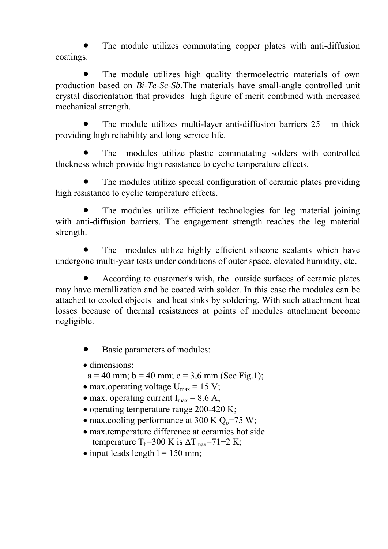The module utilizes commutating copper plates with anti-diffusion coatings.

 The module utilizes high quality thermoelectric materials of own production based on *Bi-Te-Se-Sb.*The materials have small-angle controlled unit crystal disorientation that provides high figure of merit combined with increased mechanical strength.

The module utilizes multi-layer anti-diffusion barriers 25 m thick providing high reliability and long service life.

 The modules utilize plastic commutating solders with controlled thickness which provide high resistance to cyclic temperature effects.

 The modules utilize special configuration of ceramic plates providing high resistance to cyclic temperature effects.

 The modules utilize efficient technologies for leg material joining with anti-diffusion barriers. The engagement strength reaches the leg material strength.

 The modules utilize highly efficient silicone sealants which have undergone multi-year tests under conditions of outer space, elevated humidity, etc.

 According to customer's wish, the outside surfaces of ceramic plates may have metallization and be coated with solder. In this case the modules can be attached to cooled objects and heat sinks by soldering. With such attachment heat losses because of thermal resistances at points of modules attachment become negligible.

- Basic parameters of modules:
- dimensions:
- $a = 40$  mm;  $b = 40$  mm;  $c = 3.6$  mm (See Fig.1);
- max.operating voltage  $U_{\text{max}} = 15$  V;
- max. operating current  $I_{max} = 8.6$  A;
- operating temperature range  $200-420$  K;
- max.cooling performance at 300 K  $Q_0$ =75 W;
- max.temperature difference at ceramics hot side temperature  $T_b = 300 \text{ K}$  is  $\Delta T_{\text{max}} = 71 \pm 2 \text{ K}$ ;
- $\bullet$  input leads length  $l = 150$  mm;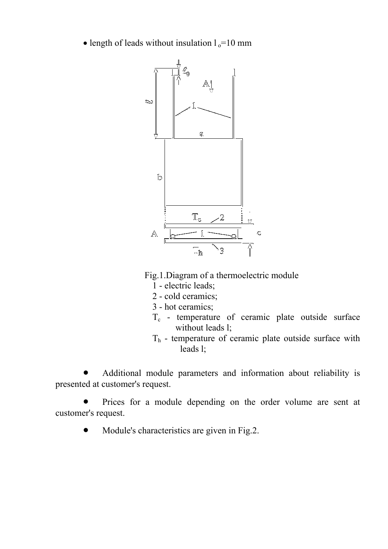• length of leads without insulation  $l_0$ =10 mm



Fig.1.Diagram of a thermoelectric module

- 1 electric leads;
- 2 cold ceramics;
- 3 hot ceramics;
- T<sub>c</sub> temperature of ceramic plate outside surface without leads 1;
- $T<sub>h</sub>$  temperature of ceramic plate outside surface with leads l;

 Additional module parameters and information about reliability is presented at customer's request.

• Prices for a module depending on the order volume are sent at customer's request.

• Module's characteristics are given in Fig.2.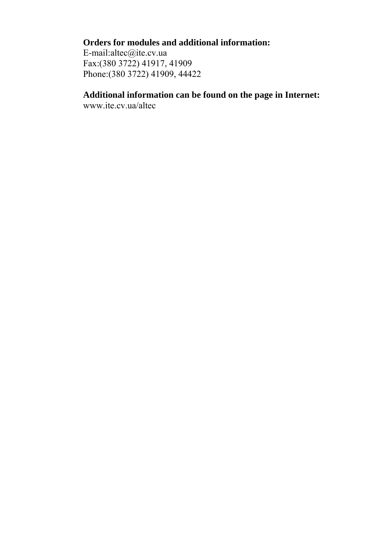## **Orders for modules and additional information:**

E-mail:altec@ite.cv.ua Fax:(380 3722) 41917, 41909 Phone:(380 3722) 41909, 44422

## **Additional information can be found on the page in Internet:**

www.ite.cv.ua/altec